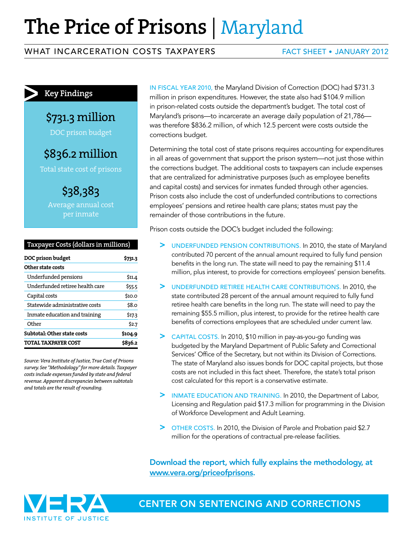# **The Price of Prisons** | Maryland

#### WHAT INCARCERATION COSTS TAXPAYERS FACT SHEET • JANUARY 2012

### **Key Findings**

\$731.3 million

DOC prison budget

\$836.2 million

Total state cost of prisons

\$38,383 Average annual cost

| Taxpayer Costs (dollars in millions) |
|--------------------------------------|
|                                      |

| DOC prison budget               |         |
|---------------------------------|---------|
| Other state costs               |         |
| Underfunded pensions            | \$11.4  |
| Underfunded retiree health care | \$55.5  |
| Capital costs                   | \$10.0  |
| Statewide administrative costs  | \$8.o   |
| Inmate education and training   | \$17.3  |
| Other                           | \$2.7   |
| Subtotal: Other state costs     | \$104.9 |
| TOTAL TAXPAYER COST             | \$836.2 |
|                                 |         |

*Source: Vera Institute of Justice, True Cost of Prisons survey. See "Methodology" for more details. Taxpayer costs include expenses funded by state and federal revenue. Apparent discrepancies between subtotals and totals are the result of rounding.* 

IN FISCAL YEAR 2010, the Maryland Division of Correction (DOC) had \$731.3 million in prison expenditures. However, the state also had \$104.9 million in prison-related costs outside the department's budget. The total cost of Maryland's prisons—to incarcerate an average daily population of 21,786 was therefore \$836.2 million, of which 12.5 percent were costs outside the corrections budget.

Determining the total cost of state prisons requires accounting for expenditures in all areas of government that support the prison system—not just those within the corrections budget. The additional costs to taxpayers can include expenses that are centralized for administrative purposes (such as employee benefits and capital costs) and services for inmates funded through other agencies. Prison costs also include the cost of underfunded contributions to corrections employees' pensions and retiree health care plans; states must pay the remainder of those contributions in the future.

Prison costs outside the DOC's budget included the following:

- > UNDERFUNDED PENSION CONTRIBUTIONS. In 2010, the state of Maryland contributed 70 percent of the annual amount required to fully fund pension benefits in the long run. The state will need to pay the remaining \$11.4 million, plus interest, to provide for corrections employees' pension benefits.
- > UNDERFUNDED RETIREE HEALTH CARE CONTRIBUTIONS. In 2010, the state contributed 28 percent of the annual amount required to fully fund retiree health care benefits in the long run. The state will need to pay the remaining \$55.5 million, plus interest, to provide for the retiree health care benefits of corrections employees that are scheduled under current law.
- > CAPITAL COSTS. In 2010, \$10 million in pay-as-you-go funding was budgeted by the Maryland Department of Public Safety and Correctional Services' Office of the Secretary, but not within its Division of Corrections. The state of Maryland also issues bonds for DOC capital projects, but those costs are not included in this fact sheet. Therefore, the state's total prison cost calculated for this report is a conservative estimate.
- > INMATE EDUCATION AND TRAINING. In 2010, the Department of Labor, Licensing and Regulation paid \$17.3 million for programming in the Division of Workforce Development and Adult Learning.
- > OTHER COSTS. In 2010, the Division of Parole and Probation paid \$2.7 million for the operations of contractual pre-release facilities.

Download the report, which fully explains the methodology, at www.vera.org/priceofprisons.



CENTER ON SENTENCING AND CORRECTIONS